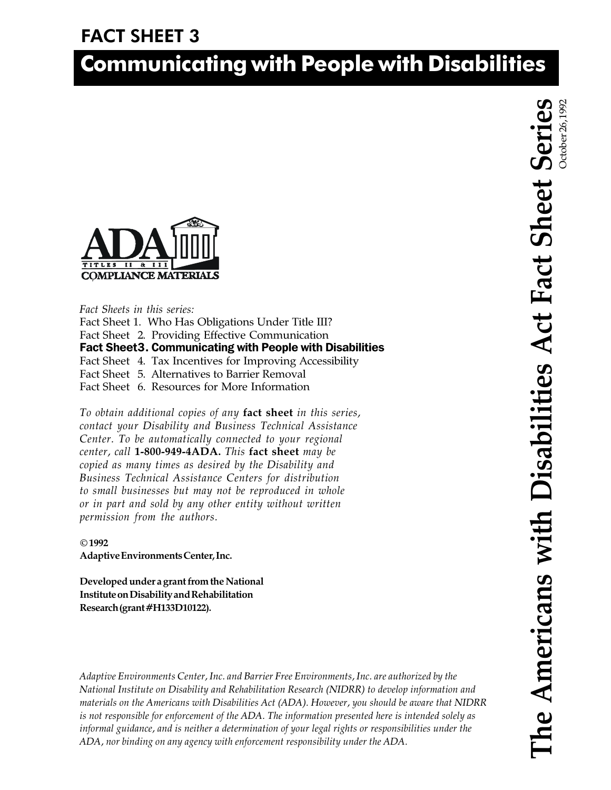# FACT SHEET 3

# Communicating with People with Disabilities



Fact Sheets in this series: Fact Sheet 1. Who Has Obligations Under Title III? Fact Sheet 2. Providing Effective Communication Fact Sheet 4. Tax Incentives for Improving Accessibility Fact Sheet 5. Alternatives to Barrier Removal Fact Sheet 6. Resources for More Information

To obtain additional copies of any fact sheet in this series, contact your Disability and Business Technical Assistance Center. To be automatically connected to your regional center, call 1-800-949-4ADA. This fact sheet may be copied as many times as desired by the Disability and Business Technical Assistance Centers for distribution to small businesses but may not be reproduced in whole or in part and sold by any other entity without written permission from the authors.

#### © 1992

Adaptive Environments Center, Inc.

Developed under a grant from the National Institute on Disability and Rehabilitation Research (grant #H133D10122).

Adaptive Environments Center, Inc. and Barrier Free Environments, Inc. are authorized by the National Institute on Disability and Rehabilitation Research (NIDRR) to develop information and materials on the Americans with Disabilities Act (ADA). However, you should be aware that NIDRR is not responsible for enforcement of the ADA. The information presented here is intended solely as informal guidance, and is neither a determination of your legal rights or responsibilities under the ADA, nor binding on any agency with enforcement responsibility under the ADA.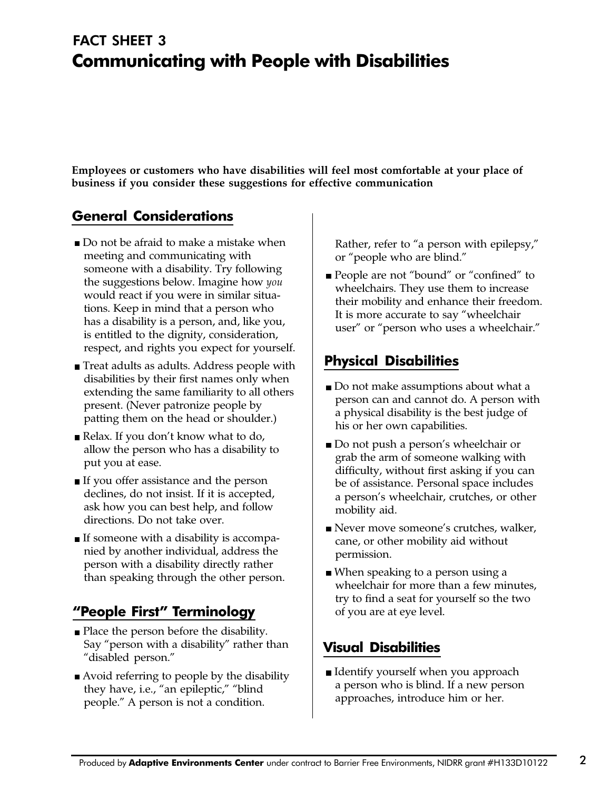## Communicating with People with Disabilities FACT SHEET 3

Employees or customers who have disabilities will feel most comfortable at your place of business if you consider these suggestions for effective communication

#### General Considerations

- Do not be afraid to make a mistake when meeting and communicating with someone with a disability. Try following the suggestions below. Imagine how you would react if you were in similar situations. Keep in mind that a person who has a disability is a person, and, like you, is entitled to the dignity, consideration, respect, and rights you expect for yourself.
- Treat adults as adults. Address people with disabilities by their first names only when extending the same familiarity to all others present. (Never patronize people by patting them on the head or shoulder.)
- Relax. If you don't know what to do, allow the person who has a disability to put you at ease.
- If you offer assistance and the person declines, do not insist. If it is accepted, ask how you can best help, and follow directions. Do not take over.
- If someone with a disability is accompanied by another individual, address the person with a disability directly rather than speaking through the other person.

### "People First" Terminology

- Place the person before the disability. Say "person with a disability" rather than "disabled person."
- Avoid referring to people by the disability they have, i.e., "an epileptic," "blind people." A person is not a condition.

Rather, refer to "a person with epilepsy," or "people who are blind."

People are not "bound" or "confined" to wheelchairs. They use them to increase their mobility and enhance their freedom. It is more accurate to say "wheelchair user" or "person who uses a wheelchair."

#### Physical Disabilities

- Do not make assumptions about what a person can and cannot do. A person with a physical disability is the best judge of his or her own capabilities.
- Do not push a person's wheelchair or grab the arm of someone walking with difficulty, without first asking if you can be of assistance. Personal space includes a person's wheelchair, crutches, or other mobility aid.
- Never move someone's crutches, walker, cane, or other mobility aid without permission.
- When speaking to a person using a wheelchair for more than a few minutes, try to find a seat for yourself so the two of you are at eye level.

#### Visual Disabilities

■ Identify yourself when you approach a person who is blind. If a new person approaches, introduce him or her.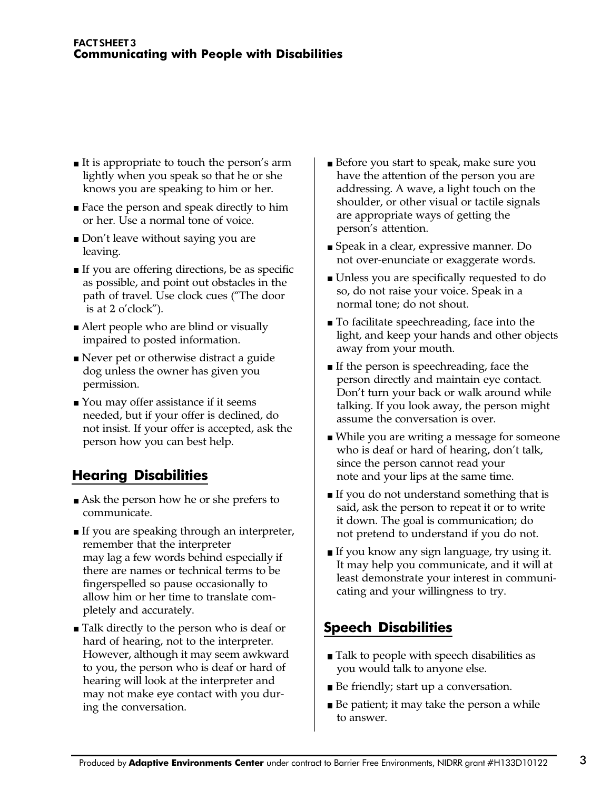- $\blacksquare$  It is appropriate to touch the person's arm lightly when you speak so that he or she knows you are speaking to him or her.
- Face the person and speak directly to him or her. Use a normal tone of voice.
- $\Box$  Don't leave without saying you are leaving.
- $\blacksquare$  If you are offering directions, be as specific as possible, and point out obstacles in the path of travel. Use clock cues ("The door is at  $2$  o'clock").
- Alert people who are blind or visually impaired to posted information.
- Never pet or otherwise distract a guide dog unless the owner has given you permission.
- You may offer assistance if it seems needed, but if your offer is declined, do not insist. If your offer is accepted, ask the person how you can best help.

#### Hearing Disabilities

- Ask the person how he or she prefers to communicate.
- ■If you are speaking through an interpreter, remember that the interpreter may lag a few words behind especially if there are names or technical terms to be fingerspelled so pause occasionally to allow him or her time to translate completely and accurately.
- Talk directly to the person who is deaf or hard of hearing, not to the interpreter. However, although it may seem awkward to you, the person who is deaf or hard of hearing will look at the interpreter and may not make eye contact with you during the conversation.
- Before you start to speak, make sure you have the attention of the person you are addressing. A wave, a light touch on the shoulder, or other visual or tactile signals are appropriate ways of getting the person's attention.
- Speak in a clear, expressive manner. Do not over-enunciate or exaggerate words.
- Unless you are specifically requested to do so, do not raise your voice. Speak in a normal tone; do not shout.
- To facilitate speechreading, face into the light, and keep your hands and other objects away from your mouth.
- If the person is speechreading, face the person directly and maintain eye contact. Don't turn your back or walk around while talking. If you look away, the person might assume the conversation is over.
- While you are writing a message for someone who is deaf or hard of hearing, don't talk, since the person cannot read your note and your lips at the same time.
- ■If you do not understand something that is said, ask the person to repeat it or to write it down. The goal is communication; do not pretend to understand if you do not.
- ■If you know any sign language, try using it. It may help you communicate, and it will at least demonstrate your interest in communicating and your willingness to try.

### Speech Disabilities

- Talk to people with speech disabilities as you would talk to anyone else.
- Be friendly; start up a conversation.
- ■Be patient; it may take the person a while to answer.